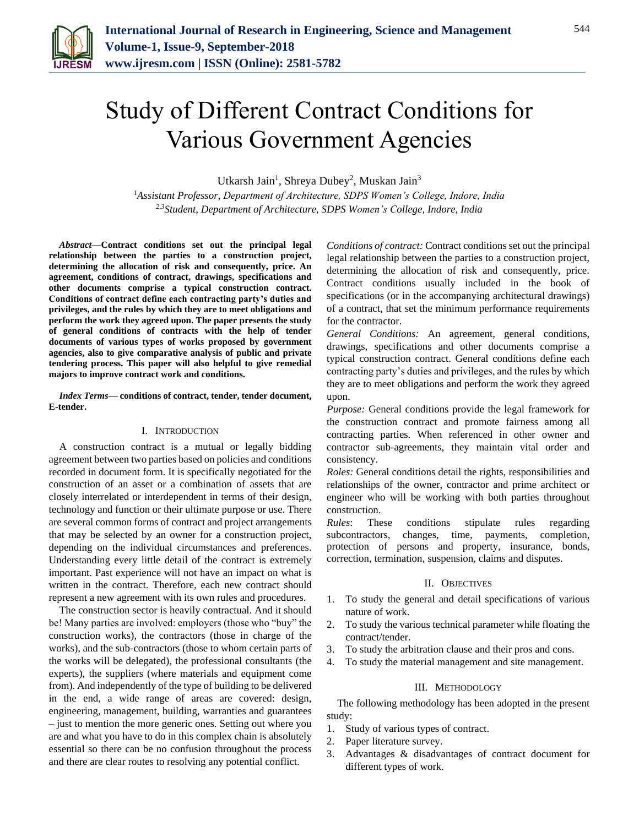

# Study of Different Contract Conditions for Various Government Agencies

Utkarsh Jain<sup>1</sup>, Shreya Dubey<sup>2</sup>, Muskan Jain<sup>3</sup>

*<sup>1</sup>Assistant Professor, Department of Architecture, SDPS Women's College, Indore, India 2,3Student, Department of Architecture, SDPS Women's College, Indore, India*

*Abstract***—Contract conditions set out the principal legal relationship between the parties to a construction project, determining the allocation of risk and consequently, price. An agreement, conditions of contract, drawings, specifications and other documents comprise a typical construction contract. Conditions of contract define each contracting party's duties and privileges, and the rules by which they are to meet obligations and perform the work they agreed upon. The paper presents the study of general conditions of contracts with the help of tender documents of various types of works proposed by government agencies, also to give comparative analysis of public and private tendering process. This paper will also helpful to give remedial majors to improve contract work and conditions.**

*Index Terms***— conditions of contract, tender, tender document, E-tender.**

## I. INTRODUCTION

A construction contract is a mutual or legally bidding agreement between two parties based on policies and conditions recorded in document form. It is specifically negotiated for the construction of an asset or a combination of assets that are closely interrelated or interdependent in terms of their design, technology and function or their ultimate purpose or use. There are several common forms of contract and project arrangements that may be selected by an owner for a construction project, depending on the individual circumstances and preferences. Understanding every little detail of the contract is extremely important. Past experience will not have an impact on what is written in the contract. Therefore, each new contract should represent a new agreement with its own rules and procedures.

The construction sector is heavily contractual. And it should be! Many parties are involved: employers (those who "buy" the construction works), the contractors (those in charge of the works), and the sub-contractors (those to whom certain parts of the works will be delegated), the professional consultants (the experts), the suppliers (where materials and equipment come from). And independently of the type of building to be delivered in the end, a wide range of areas are covered: design, engineering, management, building, warranties and guarantees – just to mention the more generic ones. Setting out where you are and what you have to do in this complex chain is absolutely essential so there can be no confusion throughout the process and there are clear routes to resolving any potential conflict.

*Conditions of contract:* Contract conditions set out the principal legal relationship between the parties to a construction project, determining the allocation of risk and consequently, price. Contract conditions usually included in the book of specifications (or in the accompanying architectural drawings) of a contract, that set the minimum performance requirements for the contractor.

*General Conditions:* An agreement, general conditions, drawings, specifications and other documents comprise a typical construction contract. General conditions define each contracting party's duties and privileges, and the rules by which they are to meet obligations and perform the work they agreed upon.

*Purpose:* General conditions provide the legal framework for the construction contract and promote fairness among all contracting parties. When referenced in other owner and contractor sub-agreements, they maintain vital order and consistency.

*Roles:* General conditions detail the rights, responsibilities and relationships of the owner, contractor and prime architect or engineer who will be working with both parties throughout construction.

*Rules*: These conditions stipulate rules regarding subcontractors, changes, time, payments, completion, protection of persons and property, insurance, bonds, correction, termination, suspension, claims and disputes.

## II. OBJECTIVES

- 1. To study the general and detail specifications of various nature of work.
- 2. To study the various technical parameter while floating the contract/tender.
- 3. To study the arbitration clause and their pros and cons.
- 4. To study the material management and site management.

#### III. METHODOLOGY

The following methodology has been adopted in the present study:

- 1. Study of various types of contract.
- 2. Paper literature survey.
- 3. Advantages & disadvantages of contract document for different types of work.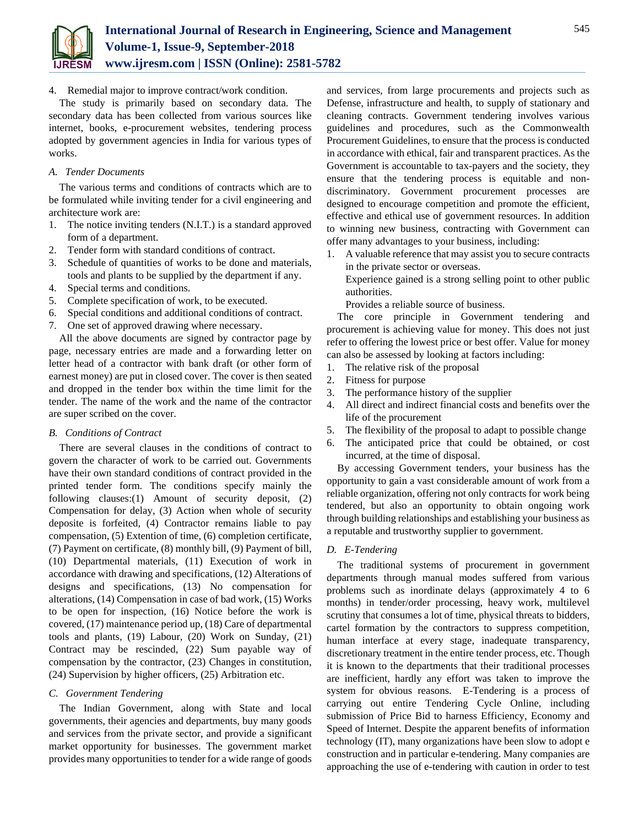

4. Remedial major to improve contract/work condition.

The study is primarily based on secondary data. The secondary data has been collected from various sources like internet, books, e-procurement websites, tendering process adopted by government agencies in India for various types of works.

# *A. Tender Documents*

The various terms and conditions of contracts which are to be formulated while inviting tender for a civil engineering and architecture work are:

- 1. The notice inviting tenders (N.I.T.) is a standard approved form of a department.
- 2. Tender form with standard conditions of contract.
- 3. Schedule of quantities of works to be done and materials, tools and plants to be supplied by the department if any.
- 4. Special terms and conditions.
- 5. Complete specification of work, to be executed.
- 6. Special conditions and additional conditions of contract.
- 7. One set of approved drawing where necessary.

All the above documents are signed by contractor page by page, necessary entries are made and a forwarding letter on letter head of a contractor with bank draft (or other form of earnest money) are put in closed cover. The cover is then seated and dropped in the tender box within the time limit for the tender. The name of the work and the name of the contractor are super scribed on the cover.

## *B. Conditions of Contract*

There are several clauses in the conditions of contract to govern the character of work to be carried out. Governments have their own standard conditions of contract provided in the printed tender form. The conditions specify mainly the following clauses:(1) Amount of security deposit, (2) Compensation for delay, (3) Action when whole of security deposite is forfeited, (4) Contractor remains liable to pay compensation, (5) Extention of time, (6) completion certificate, (7) Payment on certificate, (8) monthly bill, (9) Payment of bill, (10) Departmental materials, (11) Execution of work in accordance with drawing and specifications, (12) Alterations of designs and specifications, (13) No compensation for alterations, (14) Compensation in case of bad work, (15) Works to be open for inspection, (16) Notice before the work is covered, (17) maintenance period up, (18) Care of departmental tools and plants, (19) Labour, (20) Work on Sunday, (21) Contract may be rescinded, (22) Sum payable way of compensation by the contractor, (23) Changes in constitution, (24) Supervision by higher officers, (25) Arbitration etc.

# *C. Government Tendering*

The Indian Government, along with State and local governments, their agencies and departments, buy many goods and services from the private sector, and provide a significant market opportunity for businesses. The government market provides many opportunities to tender for a wide range of goods

and services, from large procurements and projects such as Defense, infrastructure and health, to supply of stationary and cleaning contracts. Government tendering involves various guidelines and procedures, such as the Commonwealth Procurement Guidelines, to ensure that the process is conducted in accordance with ethical, fair and transparent practices. As the Government is accountable to tax-payers and the society, they ensure that the tendering process is equitable and nondiscriminatory. Government procurement processes are designed to encourage competition and promote the efficient, effective and ethical use of government resources. In addition to winning new business, contracting with Government can offer many advantages to your business, including:

1. A valuable reference that may assist you to secure contracts in the private sector or overseas.

Experience gained is a strong selling point to other public authorities.

Provides a reliable source of business.

The core principle in Government tendering and procurement is achieving value for money. This does not just refer to offering the lowest price or best offer. Value for money can also be assessed by looking at factors including:

- 1. The relative risk of the proposal
- 2. Fitness for purpose
- 3. The performance history of the supplier
- 4. All direct and indirect financial costs and benefits over the life of the procurement
- 5. The flexibility of the proposal to adapt to possible change
- 6. The anticipated price that could be obtained, or cost incurred, at the time of disposal.

By accessing Government tenders, your business has the opportunity to gain a vast considerable amount of work from a reliable organization, offering not only contracts for work being tendered, but also an opportunity to obtain ongoing work through building relationships and establishing your business as a reputable and trustworthy supplier to government.

# *D. E-Tendering*

The traditional systems of procurement in government departments through manual modes suffered from various problems such as inordinate delays (approximately 4 to 6 months) in tender/order processing, heavy work, multilevel scrutiny that consumes a lot of time, physical threats to bidders, cartel formation by the contractors to suppress competition, human interface at every stage, inadequate transparency, discretionary treatment in the entire tender process, etc. Though it is known to the departments that their traditional processes are inefficient, hardly any effort was taken to improve the system for obvious reasons. E-Tendering is a process of carrying out entire Tendering Cycle Online, including submission of Price Bid to harness Efficiency, Economy and Speed of Internet. Despite the apparent benefits of information technology (IT), many organizations have been slow to adopt e construction and in particular e-tendering. Many companies are approaching the use of e-tendering with caution in order to test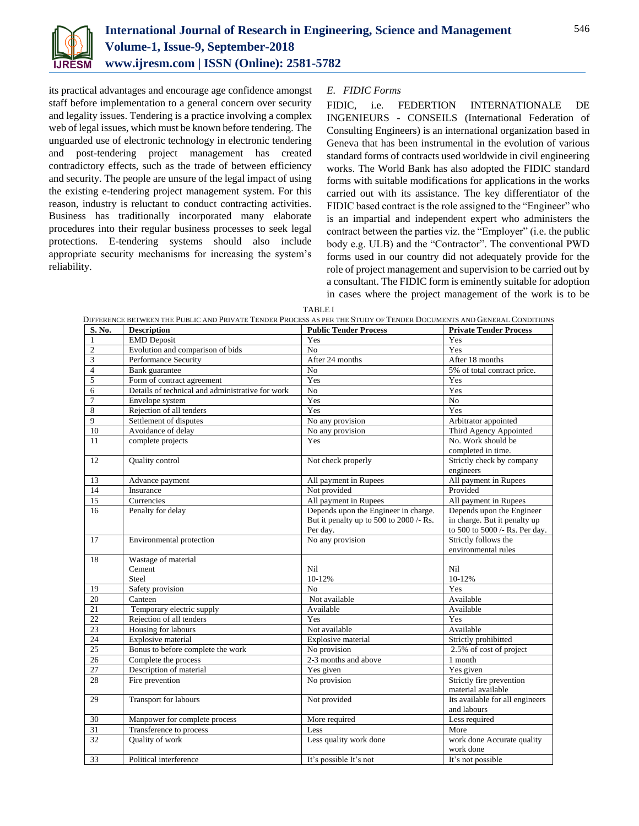

its practical advantages and encourage age confidence amongst staff before implementation to a general concern over security and legality issues. Tendering is a practice involving a complex web of legal issues, which must be known before tendering. The unguarded use of electronic technology in electronic tendering and post-tendering project management has created contradictory effects, such as the trade of between efficiency and security. The people are unsure of the legal impact of using the existing e-tendering project management system. For this reason, industry is reluctant to conduct contracting activities. Business has traditionally incorporated many elaborate procedures into their regular business processes to seek legal protections. E-tendering systems should also include appropriate security mechanisms for increasing the system's reliability.

# *E. FIDIC Forms*

FIDIC, i.e. FEDERTION INTERNATIONALE DE INGENIEURS - CONSEILS (International Federation of Consulting Engineers) is an international organization based in Geneva that has been instrumental in the evolution of various standard forms of contracts used worldwide in civil engineering works. The World Bank has also adopted the FIDIC standard forms with suitable modifications for applications in the works carried out with its assistance. The key differentiator of the FIDIC based contract is the role assigned to the "Engineer" who is an impartial and independent expert who administers the contract between the parties viz. the "Employer" (i.e. the public body e.g. ULB) and the "Contractor". The conventional PWD forms used in our country did not adequately provide for the role of project management and supervision to be carried out by a consultant. The FIDIC form is eminently suitable for adoption in cases where the project management of the work is to be

TABLE I

| S. No.          | <b>Description</b>                               | <b>Public Tender Process</b>                        | <b>Private Tender Process</b>                                  |
|-----------------|--------------------------------------------------|-----------------------------------------------------|----------------------------------------------------------------|
| $\mathbf{1}$    | <b>EMD</b> Deposit                               | Yes                                                 | Yes                                                            |
| $\overline{c}$  | Evolution and comparison of bids                 | N <sub>o</sub>                                      | Yes                                                            |
| 3               | Performance Security                             | After 24 months                                     | After 18 months                                                |
| $\overline{4}$  | Bank guarantee                                   | $\overline{No}$                                     | 5% of total contract price.                                    |
| 5               | Form of contract agreement                       | Yes                                                 | Yes                                                            |
| 6               | Details of technical and administrative for work | N <sub>o</sub>                                      | Yes                                                            |
| 7               | Envelope system                                  | Yes                                                 | No                                                             |
| 8               | Rejection of all tenders                         | Yes                                                 | Yes                                                            |
| 9               | Settlement of disputes                           | No any provision                                    | Arbitrator appointed                                           |
| 10              | Avoidance of delay                               | No any provision                                    | Third Agency Appointed                                         |
| 11              | complete projects                                | Yes                                                 | No. Work should be<br>completed in time.                       |
| 12              | Quality control                                  | Not check properly                                  | Strictly check by company<br>engineers                         |
| 13              | Advance payment                                  | All payment in Rupees                               | All payment in Rupees                                          |
| 14              | Insurance                                        | Not provided                                        | Provided                                                       |
| $\overline{15}$ | Currencies                                       | All payment in Rupees                               | All payment in Rupees                                          |
| 16              | Penalty for delay                                | Depends upon the Engineer in charge.                | Depends upon the Engineer                                      |
|                 |                                                  | But it penalty up to 500 to 2000 /- Rs.<br>Per day. | in charge. But it penalty up<br>to 500 to 5000 /- Rs. Per day. |
| 17              | Environmental protection                         | No any provision                                    | Strictly follows the<br>environmental rules                    |
| 18              | Wastage of material                              |                                                     |                                                                |
|                 | Cement                                           | Nil                                                 | Nil                                                            |
|                 | Steel                                            | 10-12%                                              | 10-12%                                                         |
| 19              | Safety provision                                 | N <sub>0</sub>                                      | Yes                                                            |
| 20              | Canteen                                          | Not available                                       | Available                                                      |
| 21              | Temporary electric supply                        | Available                                           | Available                                                      |
| $\overline{22}$ | Rejection of all tenders                         | Yes                                                 | Yes                                                            |
| $\overline{23}$ | Housing for labours                              | Not available                                       | Available                                                      |
| 24              | Explosive material                               | Explosive material                                  | Strictly prohibitted                                           |
| $\overline{25}$ | Bonus to before complete the work                | No provision                                        | 2.5% of cost of project                                        |
| 26              | Complete the process                             | 2-3 months and above                                | 1 month                                                        |
| $\overline{27}$ | Description of material                          | Yes given                                           | Yes given                                                      |
| 28              | Fire prevention                                  | No provision                                        | Strictly fire prevention<br>material available                 |
| 29              | Transport for labours                            | Not provided                                        | Its available for all engineers<br>and labours                 |
| 30              | Manpower for complete process                    | More required                                       | Less required                                                  |
| $\overline{31}$ | Transference to process                          | Less                                                | More                                                           |
| 32              | Quality of work                                  | Less quality work done                              | work done Accurate quality<br>work done                        |
| 33              | Political interference                           | It's possible It's not                              | It's not possible                                              |
|                 |                                                  |                                                     |                                                                |